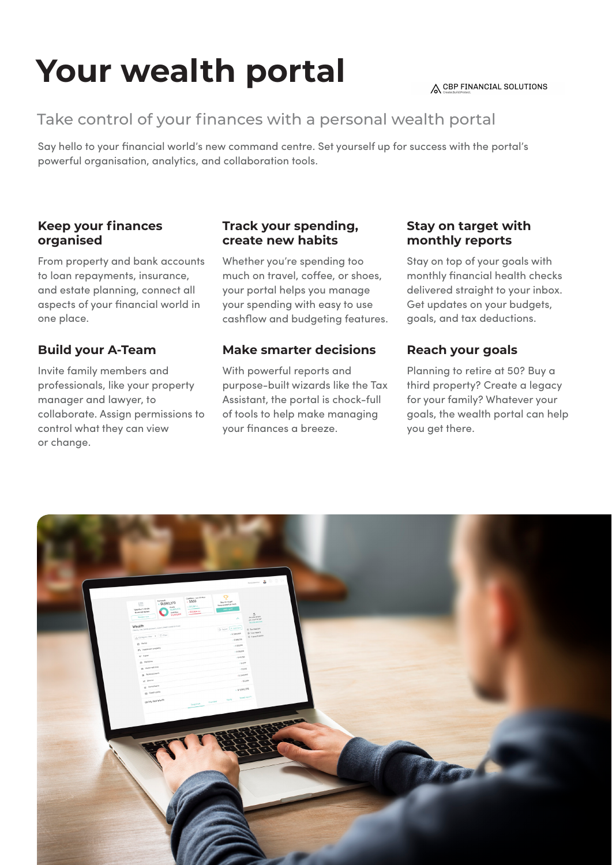# **Your wealth portal**

#### A CBP FINANCIAL SOLUTIONS

# Take control of your finances with a personal wealth portal

Say hello to your financial world's new command centre. Set yourself up for success with the portal's powerful organisation, analytics, and collaboration tools.

# **Keep your finances organised**

From property and bank accounts to loan repayments, insurance, and estate planning, connect all aspects of your financial world in one place.

# **Build your A-Team**

Invite family members and professionals, like your property manager and lawyer, to collaborate. Assign permissions to control what they can view or change.

## **Track your spending, create new habits**

Whether you're spending too much on travel, coffee, or shoes, your portal helps you manage your spending with easy to use cashflow and budgeting features.

# **Make smarter decisions**

With powerful reports and purpose-built wizards like the Tax Assistant, the portal is chock-full of tools to help make managing your finances a breeze.

## **Stay on target with monthly reports**

Stay on top of your goals with monthly financial health checks delivered straight to your inbox. Get updates on your budgets, goals, and tax deductions.

# **Reach your goals**

Planning to retire at 50? Buy a third property? Create a legacy for your family? Whatever your goals, the wealth portal can help you get there.